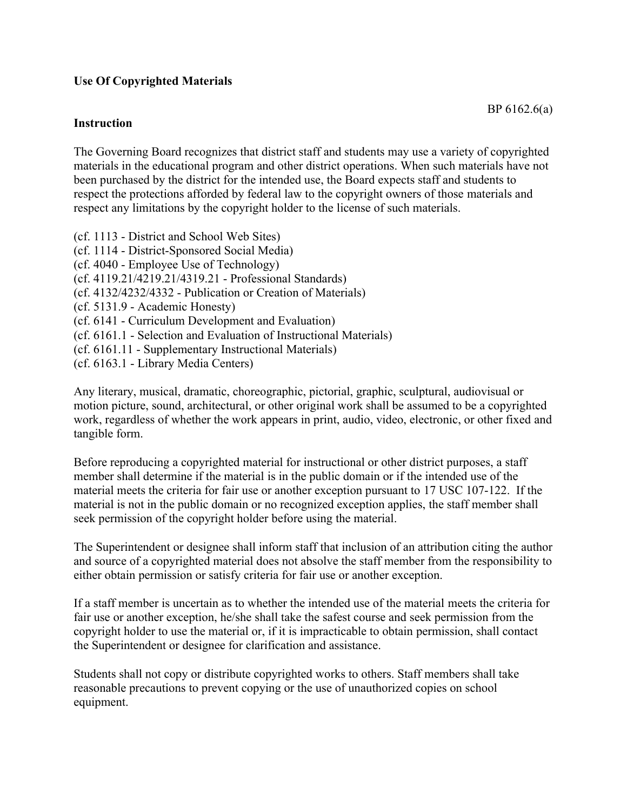## **Use Of Copyrighted Materials**

## **Instruction**

The Governing Board recognizes that district staff and students may use a variety of copyrighted materials in the educational program and other district operations. When such materials have not been purchased by the district for the intended use, the Board expects staff and students to respect the protections afforded by federal law to the copyright owners of those materials and respect any limitations by the copyright holder to the license of such materials.

(cf. 1113 - District and School Web Sites) (cf. 1114 - District-Sponsored Social Media) (cf. 4040 - Employee Use of Technology) (cf. 4119.21/4219.21/4319.21 - Professional Standards) (cf. 4132/4232/4332 - Publication or Creation of Materials) (cf. 5131.9 - Academic Honesty) (cf. 6141 - Curriculum Development and Evaluation) (cf. 6161.1 - Selection and Evaluation of Instructional Materials) (cf. 6161.11 - Supplementary Instructional Materials) (cf. 6163.1 - Library Media Centers)

Any literary, musical, dramatic, choreographic, pictorial, graphic, sculptural, audiovisual or motion picture, sound, architectural, or other original work shall be assumed to be a copyrighted work, regardless of whether the work appears in print, audio, video, electronic, or other fixed and tangible form.

Before reproducing a copyrighted material for instructional or other district purposes, a staff member shall determine if the material is in the public domain or if the intended use of the material meets the criteria for fair use or another exception pursuant to 17 USC 107-122. If the material is not in the public domain or no recognized exception applies, the staff member shall seek permission of the copyright holder before using the material.

The Superintendent or designee shall inform staff that inclusion of an attribution citing the author and source of a copyrighted material does not absolve the staff member from the responsibility to either obtain permission or satisfy criteria for fair use or another exception.

If a staff member is uncertain as to whether the intended use of the material meets the criteria for fair use or another exception, he/she shall take the safest course and seek permission from the copyright holder to use the material or, if it is impracticable to obtain permission, shall contact the Superintendent or designee for clarification and assistance.

Students shall not copy or distribute copyrighted works to others. Staff members shall take reasonable precautions to prevent copying or the use of unauthorized copies on school equipment.